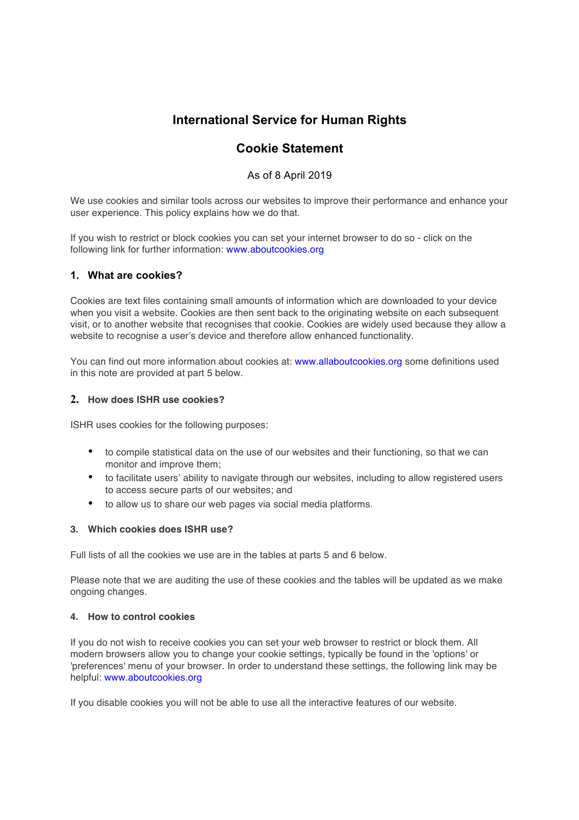# **International Service for Human Rights**

# **Cookie Statement**

## As of 8 April 2019

We use cookies and similar tools across our websites to improve their performance and enhance your user experience. This policy explains how we do that.

If you wish to restrict or block cookies you can set your internet browser to do so - click on the following link for further information: www.aboutcookies.org

### **1. What are cookies?**

Cookies are text files containing small amounts of information which are downloaded to your device when you visit a website. Cookies are then sent back to the originating website on each subsequent visit, or to another website that recognises that cookie. Cookies are widely used because they allow a website to recognise a user's device and therefore allow enhanced functionality.

You can find out more information about cookies at: www.allaboutcookies.org some definitions used in this note are provided at part 5 below.

#### **2. How does ISHR use cookies?**

ISHR uses cookies for the following purposes:

- to compile statistical data on the use of our websites and their functioning, so that we can monitor and improve them;
- to facilitate users' ability to navigate through our websites, including to allow registered users to access secure parts of our websites; and
- to allow us to share our web pages via social media platforms.

#### **3. Which cookies does ISHR use?**

Full lists of all the cookies we use are in the tables at parts 5 and 6 below.

Please note that we are auditing the use of these cookies and the tables will be updated as we make ongoing changes.

#### **4. How to control cookies**

If you do not wish to receive cookies you can set your web browser to restrict or block them. All modern browsers allow you to change your cookie settings, typically be found in the 'options' or 'preferences' menu of your browser. In order to understand these settings, the following link may be helpful: www.aboutcookies.org

If you disable cookies you will not be able to use all the interactive features of our website.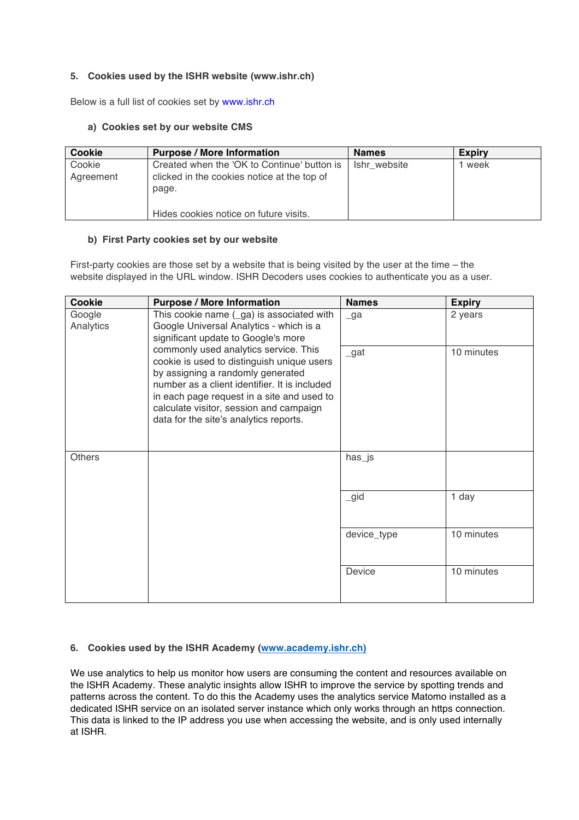### **5. Cookies used by the ISHR website (www.ishr.ch)**

Below is a full list of cookies set by www.ishr.ch

#### **a) Cookies set by our website CMS**

| <b>Cookie</b>       | <b>Purpose / More Information</b>                                                                   | <b>Names</b> | <b>Expiry</b> |
|---------------------|-----------------------------------------------------------------------------------------------------|--------------|---------------|
| Cookie<br>Agreement | Created when the 'OK to Continue' button is<br>clicked in the cookies notice at the top of<br>page. | Ishr website | 1 week        |
|                     | Hides cookies notice on future visits.                                                              |              |               |

#### **b) First Party cookies set by our website**

First-party cookies are those set by a website that is being visited by the user at the time – the website displayed in the URL window. ISHR Decoders uses cookies to authenticate you as a user.

| <b>Cookie</b>       | <b>Purpose / More Information</b>                                                                                                                                                                                                                                                                                                                                                                                                           | <b>Names</b>   | <b>Expiry</b> |
|---------------------|---------------------------------------------------------------------------------------------------------------------------------------------------------------------------------------------------------------------------------------------------------------------------------------------------------------------------------------------------------------------------------------------------------------------------------------------|----------------|---------------|
| Google<br>Analytics | This cookie name (_ga) is associated with<br>Google Universal Analytics - which is a<br>significant update to Google's more<br>commonly used analytics service. This<br>cookie is used to distinguish unique users<br>by assigning a randomly generated<br>number as a client identifier. It is included<br>in each page request in a site and used to<br>calculate visitor, session and campaign<br>data for the site's analytics reports. | $\lrcorner$ ga | 2 years       |
|                     |                                                                                                                                                                                                                                                                                                                                                                                                                                             | $\_$ gat       | 10 minutes    |
| <b>Others</b>       |                                                                                                                                                                                                                                                                                                                                                                                                                                             | has_js         |               |
|                     |                                                                                                                                                                                                                                                                                                                                                                                                                                             | $\_gid$        | 1 day         |
|                     |                                                                                                                                                                                                                                                                                                                                                                                                                                             | device_type    | 10 minutes    |
|                     |                                                                                                                                                                                                                                                                                                                                                                                                                                             | Device         | 10 minutes    |

## **6. Cookies used by the ISHR Academy (www.academy.ishr.ch)**

We use analytics to help us monitor how users are consuming the content and resources available on the ISHR Academy. These analytic insights allow ISHR to improve the service by spotting trends and patterns across the content. To do this the Academy uses the analytics service Matomo installed as a dedicated ISHR service on an isolated server instance which only works through an https connection. This data is linked to the IP address you use when accessing the website, and is only used internally at ISHR.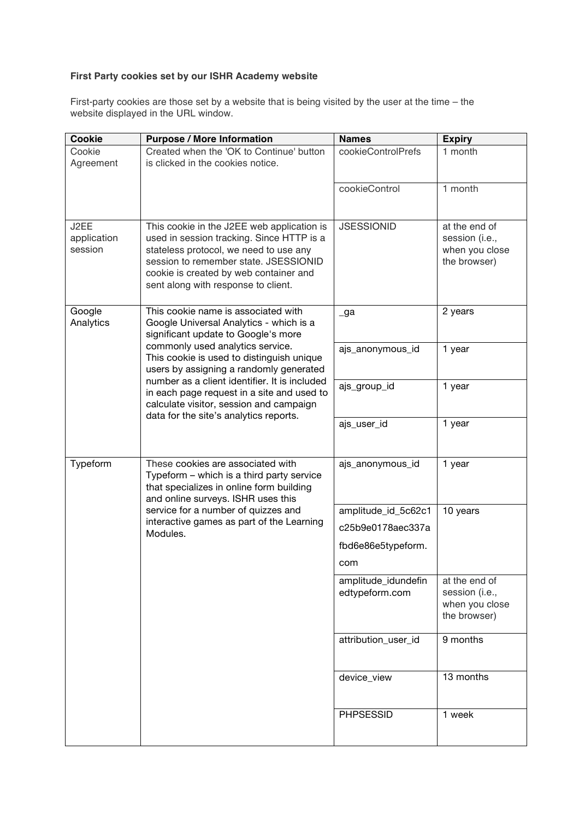# **First Party cookies set by our ISHR Academy website**

First-party cookies are those set by a website that is being visited by the user at the time – the website displayed in the URL window.

| Cookie                         | <b>Purpose / More Information</b>                                                                                                                                                                                                                                                                                                                                                                                                     | <b>Names</b>                          | <b>Expiry</b>                                                     |
|--------------------------------|---------------------------------------------------------------------------------------------------------------------------------------------------------------------------------------------------------------------------------------------------------------------------------------------------------------------------------------------------------------------------------------------------------------------------------------|---------------------------------------|-------------------------------------------------------------------|
| Cookie<br>Agreement            | Created when the 'OK to Continue' button<br>is clicked in the cookies notice.                                                                                                                                                                                                                                                                                                                                                         | cookieControlPrefs                    | 1 month                                                           |
|                                |                                                                                                                                                                                                                                                                                                                                                                                                                                       | cookieControl                         | 1 month                                                           |
| J2EE<br>application<br>session | This cookie in the J2EE web application is<br>used in session tracking. Since HTTP is a<br>stateless protocol, we need to use any<br>session to remember state. JSESSIONID<br>cookie is created by web container and<br>sent along with response to client.                                                                                                                                                                           | <b>JSESSIONID</b>                     | at the end of<br>session (i.e.,<br>when you close<br>the browser) |
| Google<br>Analytics            | This cookie name is associated with<br>Google Universal Analytics - which is a<br>significant update to Google's more<br>commonly used analytics service.<br>This cookie is used to distinguish unique<br>users by assigning a randomly generated<br>number as a client identifier. It is included<br>in each page request in a site and used to<br>calculate visitor, session and campaign<br>data for the site's analytics reports. | _ga                                   | 2 years                                                           |
|                                |                                                                                                                                                                                                                                                                                                                                                                                                                                       | ajs_anonymous_id                      | 1 year                                                            |
|                                |                                                                                                                                                                                                                                                                                                                                                                                                                                       | ajs_group_id                          | 1 year                                                            |
|                                |                                                                                                                                                                                                                                                                                                                                                                                                                                       | ajs_user_id                           | 1 year                                                            |
| Typeform                       | These cookies are associated with<br>Typeform - which is a third party service<br>that specializes in online form building<br>and online surveys. ISHR uses this<br>service for a number of quizzes and<br>interactive games as part of the Learning<br>Modules.                                                                                                                                                                      | ajs_anonymous_id                      | 1 year                                                            |
|                                |                                                                                                                                                                                                                                                                                                                                                                                                                                       | amplitude_id_5c62c1                   | 10 years                                                          |
|                                |                                                                                                                                                                                                                                                                                                                                                                                                                                       | c25b9e0178aec337a                     |                                                                   |
|                                |                                                                                                                                                                                                                                                                                                                                                                                                                                       | fbd6e86e5typeform.                    |                                                                   |
|                                |                                                                                                                                                                                                                                                                                                                                                                                                                                       | com                                   |                                                                   |
|                                |                                                                                                                                                                                                                                                                                                                                                                                                                                       | amplitude_idundefin<br>edtypeform.com | at the end of<br>session (i.e.,<br>when you close<br>the browser) |
|                                |                                                                                                                                                                                                                                                                                                                                                                                                                                       | attribution_user_id                   | 9 months                                                          |
|                                |                                                                                                                                                                                                                                                                                                                                                                                                                                       | device_view                           | 13 months                                                         |
|                                |                                                                                                                                                                                                                                                                                                                                                                                                                                       | <b>PHPSESSID</b>                      | 1 week                                                            |